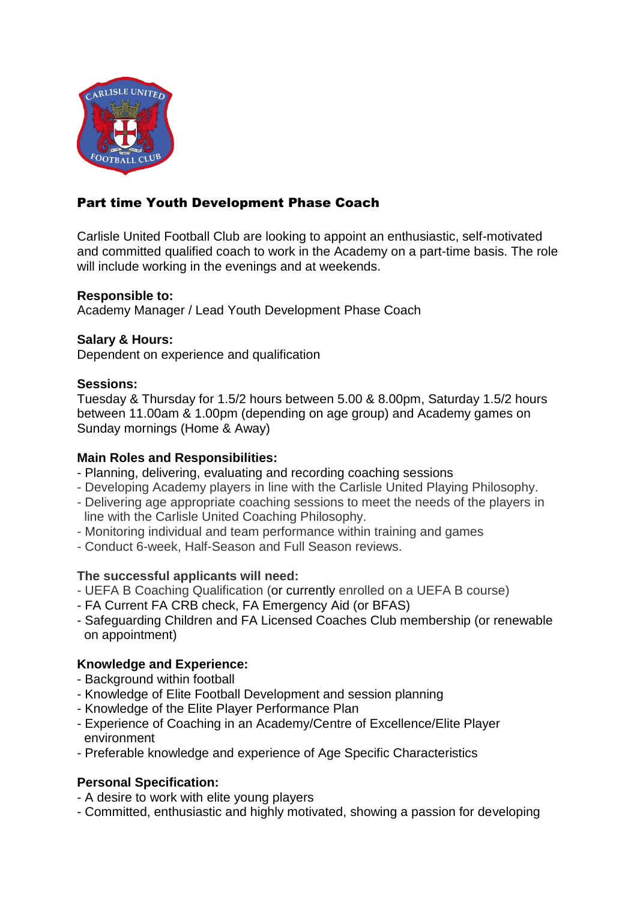

# Part time Youth Development Phase Coach

Carlisle United Football Club are looking to appoint an enthusiastic, self-motivated and committed qualified coach to work in the Academy on a part-time basis. The role will include working in the evenings and at weekends.

### **Responsible to:**

Academy Manager / Lead Youth Development Phase Coach

### **Salary & Hours:**

Dependent on experience and qualification

#### **Sessions:**

Tuesday & Thursday for 1.5/2 hours between 5.00 & 8.00pm, Saturday 1.5/2 hours between 11.00am & 1.00pm (depending on age group) and Academy games on Sunday mornings (Home & Away)

#### **Main Roles and Responsibilities:**

- Planning, delivering, evaluating and recording coaching sessions
- Developing Academy players in line with the Carlisle United Playing Philosophy.
- Delivering age appropriate coaching sessions to meet the needs of the players in line with the Carlisle United Coaching Philosophy.
- Monitoring individual and team performance within training and games
- Conduct 6-week, Half-Season and Full Season reviews.

# **The successful applicants will need:**

- UEFA B Coaching Qualification (or currently enrolled on a UEFA B course)
- FA Current FA CRB check, FA Emergency Aid (or BFAS)
- Safeguarding Children and FA Licensed Coaches Club membership (or renewable on appointment)

# **Knowledge and Experience:**

- Background within football
- Knowledge of Elite Football Development and session planning
- Knowledge of the Elite Player Performance Plan
- Experience of Coaching in an Academy/Centre of Excellence/Elite Player environment
- Preferable knowledge and experience of Age Specific Characteristics

# **Personal Specification:**

- A desire to work with elite young players
- Committed, enthusiastic and highly motivated, showing a passion for developing